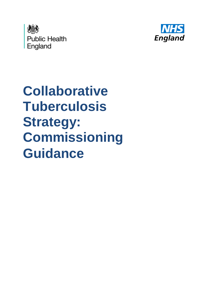



# **Collaborative Tuberculosis Strategy: Commissioning Guidance**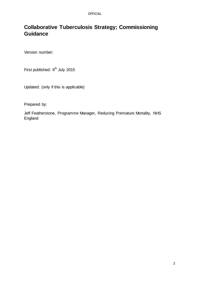# **Collaborative Tuberculosis Strategy; Commissioning Guidance**

Version number:

First published: 6<sup>th</sup> July 2015

Updated: (only if this is applicable)

Prepared by:

Jeff Featherstone, Programme Manager, Reducing Premature Mortality, NHS England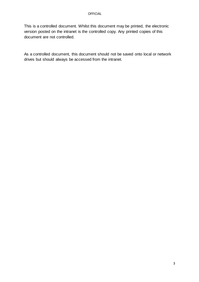This is a controlled document. Whilst this document may be printed, the electronic version posted on the intranet is the controlled copy. Any printed copies of this document are not controlled.

As a controlled document, this document should not be saved onto local or network drives but should always be accessed from the intranet.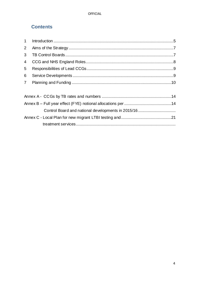## **Contents**

| $\Delta$ nnex R = Full vear effect (FYF) notional allocations ner $\Delta$ 14 |  |
|-------------------------------------------------------------------------------|--|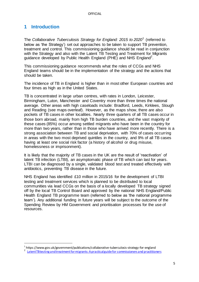### <span id="page-4-0"></span>**1 Introduction**

 $\overline{a}$ 

The *Collaborative Tuberculosis Strategy for England: 2015 to 2020*<sup>1</sup> (referred to below as 'the Strategy') set out approaches to be taken to support TB prevention, treatment and control. This commissioning guidance should be read in conjunction with the Strategy and also with the Latent TB Testing and Treatment for Migrants guidance developed by Public Health England (PHE) and NHS England<sup>2</sup>.

This commissioning guidance recommends what the roles of CCGs and NHS England teams should be in the implementation of the strategy and the actions that should be taken.

The incidence of TB in England is higher than in most other European countries and four times as high as in the United States.

TB is concentrated in large urban centres, with rates in London, Leicester, Birmingham, Luton, Manchester and Coventry more than three times the national average. Other areas with high caseloads include: Bradford, Leeds, Kirklees, Slough and Reading (see maps overleaf). However, as the maps show, there are also pockets of TB cases in other localities. Nearly three quarters of all TB cases occur in those born abroad, mainly from high TB burden countries, and the vast majority of these cases (85%) occur among settled migrants who have been in the country for more than two years, rather than in those who have arrived more recently. There is a strong association between TB and social deprivation, with 70% of cases occurring in areas with the two most deprived quintiles in the country, and 9% of all TB cases having at least one social risk factor (a history of alcohol or drug misuse, homelessness or imprisonment).

It is likely that the majority of TB cases in the UK are the result of 'reactivation' of latent TB infection (LTBI), an asymptomatic phase of TB which can last for years. LTBI can be diagnosed by a single, validated blood test and treated effectively with antibiotics, preventing TB disease in the future.

NHS England has identified £10 million in 2015/16 for the development of LTBI testing and treatment services which is planned to be distributed to local communities via lead CCGs on the basis of a locally developed TB strategy signed off by the local TB Control Board and approved by the national NHS England/Public Health England TB programme team (referred to below as 'the national programme team'). Any additional funding in future years will be subject to the outcome of the Spending Review by HM Government and prioritisation processes for the use of resources.

<sup>1</sup> https://www.gov.uk/government/publications/collaborative-tuberculosis-strategy-for-england

<sup>&</sup>lt;sup>2</sup> Latent TB testing and treatment for migrants: A practical guide for commissioners and practitioners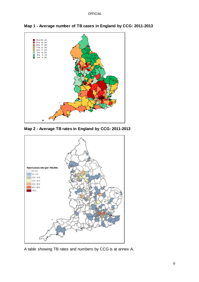

**Map 1 - Average number of TB cases in England by CCG: 2011-2013**

**Map 2 - Average TB rates in England by CCG: 2011-2013**



A table showing TB rates and numbers by CCG is at annex A.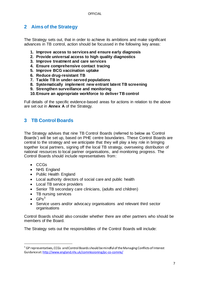## <span id="page-6-0"></span>**2 Aims of the Strategy**

The Strategy sets out, that in order to achieve its ambitions and make significant advances in TB control, action should be focussed in the following key areas:

- **1. Improve access to services and ensure early diagnosis**
- **2. Provide universal access to high quality diagnostics**
- **3. Improve treatment and care services**
- **4. Ensure comprehensive contact tracing**
- **5. Improve BCG vaccination uptake**
- **6. Reduce drug-resistant TB**
- **7. Tackle TB in under-served populations**
- **8. Systematically implement new entrant latent TB screening**
- **9. Strengthen surveillance and monitoring**
- **10.Ensure an appropriate workforce to deliver TB control**

Full details of the specific evidence-based areas for actions in relation to the above are set out in **Annex A** of the Strategy.

## <span id="page-6-1"></span>**3 TB Control Boards**

The Strategy advises that nine TB Control Boards (referred to below as 'Control Boards') will be set up, based on PHE centre boundaries. These Control Boards are central to the strategy and we anticipate that they will play a key role in bringing together local partners, signing off the local TB strategy, overseeing distribution of national resources to local partner organisations, and monitoring progress. The Control Boards should include representatives from:

- CCGs
- NHS England
- Public Health England
- Local authority directors of social care and public health
- Local TB service providers
- Senior TB secondary care clinicians, (adults and children)
- TB nursing services
- $\cdot$  GPs<sup>3</sup>

 $\overline{a}$ 

 Service users and/or advocacy organisations and relevant third sector organisations

Control Boards should also consider whether there are other partners who should be members of the Board.

The Strategy sets out the responsibilities of the Control Boards will include:

<sup>&</sup>lt;sup>3</sup> GP representatives, CCGs and Control Boards should be mindful of the Managing Conflicts of Interest Guidance a[t: http://www.england.nhs.uk/commissioning/pc-co-comms/](http://www.england.nhs.uk/commissioning/pc-co-comms/)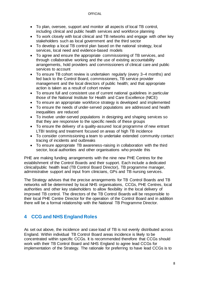#### OFFICIAL

- To plan, oversee, support and monitor all aspects of local TB control, including clinical and public health services and workforce planning
- To work closely with local clinical and TB networks and engage with other key stakeholders such as local government and the third sector
- To develop a local TB control plan based on the national strategy, local services, local need and evidence-based models
- To agree and ensure the appropriate commissioning of TB services, and through collaborative working and the use of existing accountability arrangements, hold providers and commissioners of clinical care and public services to account
- To ensure TB cohort review is undertaken regularly (every 3–4 months) and fed back to the Control Board, commissioners, TB service provider management and the local directors of public health; and that appropriate action is taken as a result of cohort review
- To ensure full and consistent use of current national guidelines in particular those of the National Institute for Health and Care Excellence (NICE)
- To ensure an appropriate workforce strategy is developed and implemented
- To ensure the needs of under-served populations are addressed and health inequalities are reduced
- To involve under-served populations in designing and shaping services so that they are responsive to the specific needs of these groups
- To ensure the delivery of a quality-assured local programme of new entrant LTBI testing and treatment focused on areas of high TB incidence
- To consider commissioning a team to undertake extended community contact tracing of incidents and outbreaks
- To ensure appropriate TB awareness-raising in collaboration with the third sector, local authorities and other organisations who provide this

PHE are making funding arrangements with the nine new PHE Centres for the establishment of the Control Boards and their support. Each include a dedicated clinical/public health lead (TB Control Board Director), TB programme manager, administrative support and input from clinicians, GPs and TB nursing services.

The Strategy advises that the precise arrangements for TB Control Boards and TB networks will be determined by local NHS organisations, CCGs, PHE Centres, local authorities and other key stakeholders to allow flexibility in the local delivery of improved TB control. The directors of the TB Control Boards will be responsible to their local PHE Centre Director for the operation of the Control Board and in addition there will be a formal relationship with the National TB Programme Director.

# <span id="page-7-0"></span>**4 CCG and NHS England Roles**

As set out above, the incidence and case load of TB is not evenly distributed across England. Within individual TB Control Board areas incidence is likely to be concentrated within specific CCGs. It is recommended therefore that CCGs should work with their TB Control Board and NHS England to agree lead CCGs for implementation of the Strategy. The rationale for preferring to have lead CCGs is to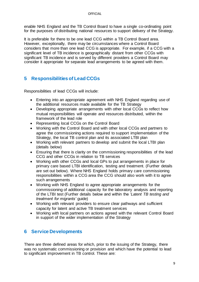enable NHS England and the TB Control Board to have a single co-ordinating point for the purposes of distributing national resources to support delivery of the Strategy.

It is preferable for there to be one lead CCG within a TB Control Board area. However, exceptionally, there may be circumstances where a Control Board considers that more than one lead CCG is appropriate. For example, if a CCG with a significant level of TB incidence is geographically distant from other CCGs with significant TB incidence and is served by different providers a Control Board may consider it appropriate for separate lead arrangements to be agreed with them.

## <span id="page-8-0"></span>**5 Responsibilities of Lead CCGs**

Responsibilities of lead CCGs will include:

- Entering into an appropriate agreement with NHS England regarding use of the additional resources made available for the TB Strategy
- Developing appropriate arrangements with other local CCGs to reflect how mutual responsibilities will operate and resources distributed, within the framework of the lead role
- Representing local CCGs on the Control Board
- Working with the Control Board and with other local CCGs and partners to agree the commissioning actions required to support implementation of the Strategy, the local TB control plan and its associated LTBI plan
- Working with relevant partners to develop and submit the local LTBI plan (details below)
- Ensuring that there is clarity on the commissioning responsibilities of the lead CCG and other CCGs in relation to TB services
- Working with other CCGs and local GPs to put arrangements in place for primary care based LTBI identification, testing and treatment. (Further details are set out below). Where NHS England holds primary care commissioning responsibilities within a CCG area the CCG should also work with it to agree such arrangements
- Working with NHS England to agree appropriate arrangements for the commissioning of additional capacity for the laboratory analysis and reporting of the LTBI test (Further details below and within the '*Latent TB testing and treatment for migrants'* guide)
- Working with relevant providers to ensure clear pathways and sufficient capacity for latent and active TB treatment services
- Working with local partners on actions agreed with the relevant Control Board in support of the wider implementation of the Strategy

### <span id="page-8-1"></span>**6 Service Developments**

There are three defined areas for which, prior to the issuing of the Strategy, there was no systematic commissioning or provision and which have the potential to lead to significant improvement in TB control. These are: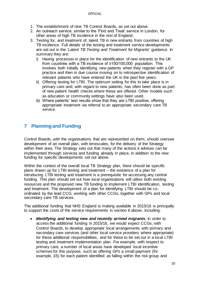- 1. The establishment of nine TB Control Boards, as set out above.
- 2. An outreach service, similar to the 'Find and Treat' service in London, for other areas of high TB incidence in the rest of England.
- 3. Testing for, and treatment of, latent TB in new entrants from countries of high TB incidence. Full details of the testing and treatment service developments are set out in the '*Latent TB Testing and Treatment for Migrants*' guidance. In summary they are:
	- i) Having processes in place for the identification of new entrants to the UK from countries with a TB incidence of ≥150/100,000 population. This involves both initially identifying new patients when they register with a GP practice and then in due course moving on to retrospective identification of relevant patients who have entered the UK in the past five years.
	- ii) Offering testing for LTBI. The optimum setting for this to take place is in primary care and, with regard to new patients, has often been done as part of new patient health checks where these are offered. Other models such as education or community settings have also been used.
	- iii) Where patients' test results show that they are LTBI positive, offering appropriate treatment via referral to an appropriate secondary care TB service.

# <span id="page-9-0"></span>**7 Planning and Funding**

Control Boards, with the organisations that are represented on them, should oversee development of an overall plan, with timescales, for the delivery of the Strategy within their area. The Strategy sets out that many of the actions it advises can be implemented through services and funding already in place, in addition to the new funding for specific developments set out above.

Within the context of the overall local TB Strategy plan, there should be specific plans drawn up for LTBI testing and treatment – the existence of a plan for introducing LTBI testing and treatment is a prerequisite for accessing any central funding. This plan should set out how local organisations will utilise both existing resources and the proposed new TB funding to implement LTBI identification, testing and treatment. The development of a plan for identifying LTBI should be coordinated by the lead CCG, working with other CCGs, together with GPs and local secondary care TB services.

The additional funding that NHS England is making available in 2015/16 is principally to support the costs of the service requirements in section 6 above, including:

 *Identifying and testing new and recently arrived migrants***.** In order to access the additional funding in 2015/16, we would expect CCGs, with Control Boards, to develop appropriate local arrangements with primary and secondary care services (and other local service providers where appropriate) for these additional responsibilities, and for these to be set out in a local LTBI testing and treatment implementation plan. For example, with respect to primary care, a number of local areas have developed local incentive schemes for this purpose, such as offering GPs a small payment (for example, £5) for each patient identified as falling within the risk group and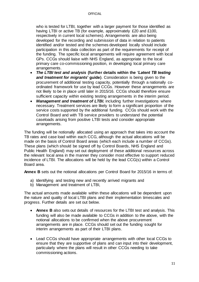who is tested for LTBI, together with a larger payment for those identified as having LTBI or active TB (for example, approximately £20 and £100, respectively in current local schemes). Arrangements are also being developed for the recording and submission of data in relation to patients identified and/or tested and the schemes developed locally should include participation in this data collection as part of the requirements for receipt of the funding. The specific local arrangements will require agreement with local GPs. CCGs should liaise with NHS England, as appropriate to the local primary care co-commissioning position, in developing local primary care arrangements.

- *The LTBI test and analysis* **(further details within the** *'Latent TB testing and treatment for migrants***' guide)**. Consideration is being given to the procurement of additional testing capacity, potentially through a nationally coordinated framework for use by lead CCGs. However these arrangements are not likely to be in place until later in 2015/16. CCGs should therefore ensure sufficient capacity within existing testing arrangements in the interim period.
- *Management and treatment of LTBI*, including further investigations where necessary. Treatment services are likely to form a significant proportion of the service costs supported by the additional funding. CCGs should work with the Control Board and with TB service providers to understand the potential caseloads arising from positive LTBI tests and consider appropriate arrangements.

The funding will be notionally allocated using an approach that takes into account the TB rates and case load within each CCG, although the actual allocations will be made on the basis of Control Board areas (which each include a number of CCGs). These plans (which should be signed off by Control Boards, NHS England and Public Health England) may set out deployment of these additional resources across the relevant local area in the manner they consider most effective to support reduced incidence of LTBI. The allocations will be held by the lead CCG(s) within a Control Board area.

**Annex B** sets out the notional allocations per Control Board for 2015/16 in terms of:

- a) Identifying and testing new and recently arrived migrants and
- b) Management and treatment of LTBI,

The actual amounts made available within these allocations will be dependent upon the nature and quality of local LTBI plans and their implementation timescales and progress. Further details are set out below.

- **Annex B** also sets out details of resources for the LTBI test and analysis. This funding will also be made available to CCGs in addition to the above, with the notional allocations to be confirmed when the above procurement arrangements are in place. CCGs should set out the funding sought for interim arrangements as part of their LTBI plans.
- Lead CCGs should have appropriate arrangements with other local CCGs to ensure that they are supportive of plans and can input into their development, particularly where the plans will result in other CCGs needing to take commissioning actions.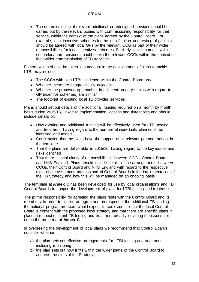• The commissioning of relevant additional or redesigned services should be carried out by the relevant bodies with commissioning responsibility for that service, within the context of the plans agreed by the Control Board. For example, local incentive schemes for the identification and testing of patients should be agreed with local GPs by the relevant CCG as part of their wider responsibilities for local incentives schemes. Similarly, developments within secondary care services should be via the relevant CCGs within the context of their wider commissioning of TB services.

Factors which should be taken into account in the development of plans to tackle LTBI may include:

- The CCGs with high LTBI incidence within the Control Board area
- Whether these are geographically adjacent
- Whether the proposed approaches in adjacent areas (such as with regard to GP incentive schemes) are similar
- The footprint of existing local TB provider services

Plans should set out details of the additional funding required on a month by month basis during 2015/16, linked to implementation, actions and timescales and should include details of:

- How existing and additional funding will be effectively used for LTBI testing and treatment, having regard to the number of individuals planned to be identified and tested
- Confirmation that the plans have the support of all relevant partners set out in the template
- That the plans are deliverable in 2015/16, having regard to the key issues and risks identified
- That there is local clarity of responsibilities between CCGs, Control Boards and NHS England. Plans should include details of the arrangements between CCGs, their Control Board and NHS England with regard to the respective roles of the assurance process and of Control Boards in the implementation of the TB Strategy and how this will be managed on an ongoing basis

The template at **Annex C** has been developed for use by local organisations and TB Control Boards to support the development of plans for LTBI testing and treatment.

The prime responsibility for agreeing the plans rests with the Control Board and its members. In order to finalise an agreement in respect of the additional TB funding the national programme team would expect to see evidence that the local Control Board is content with the proposed local strategy and that there are specific plans in place in respect of latent TB testing and treatment broadly covering the issues set out in the proforma at **Annex C**.

In overseeing the development of local plans we recommend that Control Boards consider whether:

- a) the plan sets out effective arrangements for LTBI testing and treatment, including monitoring
- b) the plan sets out how it fits within the wider plans of the Control Board to address the aims of the Strategy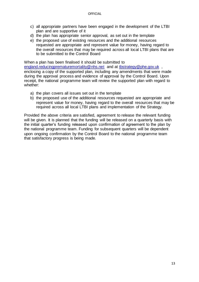- c) all appropriate partners have been engaged in the development of the LTBI plan and are supportive of it
- d) the plan has appropriate senior approval, as set out in the template
- e) the proposed use of existing resources and the additional resources requested are appropriate and represent value for money, having regard to the overall resources that may be required across all local LTBI plans that are to be submitted to the Control Board

When a plan has been finalised it should be submitted to

[england.reducingprematuremortality@nhs.net](mailto:england.reducingprematuremortality@nhs.net) and at [tbstrategy@phe.gov.uk](mailto:tbstrategy@phe.gov.uk) , enclosing a copy of the supported plan, including any amendments that were made during the approval process and evidence of approval by the Control Board. Upon receipt, the national programme team will review the supported plan with regard to whether:

- a) the plan covers all issues set out in the template
- b) the proposed use of the additional resources requested are appropriate and represent value for money, having regard to the overall resources that may be required across all local LTBI plans and implementation of the Strategy.

Provided the above criteria are satisfied, agreement to release the relevant funding will be given. It is planned that the funding will be released on a quarterly basis with the initial quarter's funding released upon confirmation of agreement to the plan by the national programme team. Funding for subsequent quarters will be dependent upon ongoing confirmation by the Control Board to the national programme team that satisfactory progress is being made.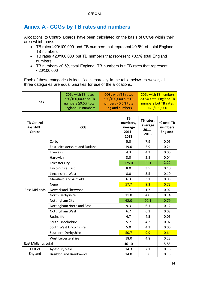# <span id="page-13-0"></span>**Annex A - CCGs by TB rates and numbers**

Allocations to Control Boards have been calculated on the basis of CCGs within their area which have:

- TB rates ≥20/100,000 and TB numbers that represent ≥0.5% of total England TB numbers
- TB rates ≥20/100,000 but TB numbers that represent <0.5% total England numbers
- TB numbers ≥0.5% total England TB numbers but TB rates that represent <20/100,000

Each of these categories is identified separately in the table below. However, all three categories are equal priorities for use of the allocations.

| Kev | <b>CCGs with TB rates</b><br>≥20/100,000 and TB | <b>CCGs with TB rates</b><br>≥20/100,000 but TB | <b>CCGs with TB numbers</b><br>$\geq$ 0.5% total England TB |
|-----|-------------------------------------------------|-------------------------------------------------|-------------------------------------------------------------|
|     | numbers ≥0.5% total                             | numbers <0.5% total                             | numbers but TB rates                                        |
|     | <b>England TB numbers</b>                       | <b>England numbers</b>                          | $\frac{1}{20}$ <20/100,000                                  |

| <b>TB Control</b><br>Board/PHE<br>Centre | <b>CCG</b>                             | TB<br>numbers,<br>average<br>$2011 -$<br>2013 | TB rates,<br>average<br>$2011 -$<br>2013 | % total TB<br>numbers<br><b>England</b> |
|------------------------------------------|----------------------------------------|-----------------------------------------------|------------------------------------------|-----------------------------------------|
|                                          | Corby                                  | 5.0                                           | 7.9                                      | 0.06                                    |
|                                          | <b>East Leicestershire and Rutland</b> | 19.0                                          | 5.9                                      | 0.24                                    |
|                                          | Erewash                                | 4.3                                           | 4.2                                      | 0.06                                    |
|                                          | <b>Hardwick</b>                        | 3.0                                           | 2.8                                      | 0.04                                    |
|                                          | Leicester City                         | 175.0                                         | 53.1                                     | 2.22                                    |
|                                          | Lincolnshire East                      | 8.0                                           | 3.5                                      | 0.10                                    |
|                                          | Lincolnshire West                      | 8.0                                           | 3.5                                      | 0.10                                    |
|                                          | Mansfield and Ashfield                 | 6.3                                           | 3.1                                      | 0.08                                    |
|                                          | Nene                                   | 57.7                                          | 9.3                                      | 0.73                                    |
| <b>East Midlands</b>                     | Newark and Sherwood                    | 1.7                                           | 1.7                                      | 0.02                                    |
|                                          | North Derbyshire                       | 11.0                                          | 4.0                                      | 0.14                                    |
|                                          | Nottingham City                        | 62.0                                          | 20.1                                     | 0.79                                    |
|                                          | Nottingham North and East              | 9.3                                           | 6.1                                      | 0.12                                    |
|                                          | Nottingham West                        | 6.7                                           | 6.3                                      | 0.08                                    |
|                                          | Rushcliffe                             | 4.7                                           | 4.5                                      | 0.06                                    |
|                                          | South Lincolnshire                     | 5.7                                           | 4.2                                      | 0.07                                    |
|                                          | South West Lincolnshire                | 5.0                                           | 4.1                                      | 0.06                                    |
|                                          | Southern Derbyshire                    | 50.7                                          | 9.9                                      | 0.64                                    |
|                                          | West Leicestershire                    | 18.0                                          | 4.8                                      | 0.23                                    |
| <b>East Midlands total</b>               |                                        | 461.0                                         |                                          | 5.85                                    |
| East of                                  | Aylesbury Vale                         | 14.3                                          | 7.1                                      | 0.18                                    |
| England                                  | <b>Basildon and Brentwood</b>          | 14.0                                          | 5.6                                      | 0.18                                    |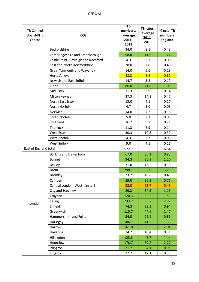| <b>TB Control</b><br>Board/PHE<br>Centre | <b>CCG</b>                          | TB<br>numbers,<br>average<br>$2011 -$<br>2013 | TB rates,<br>average<br>$2011 -$<br>2013 | % total TB<br>numbers<br><b>England</b> |
|------------------------------------------|-------------------------------------|-----------------------------------------------|------------------------------------------|-----------------------------------------|
|                                          | Bedfordshire                        | 34.0                                          | 8.1                                      | 0.43                                    |
|                                          | Cambridgeshire and Peterborough     | 98.0                                          | 11.6                                     | 1.24                                    |
|                                          | Castle Point, Rayleigh and Rochford | 4.3                                           | 2.3                                      | 0.06                                    |
|                                          | East and North Hertfordshire        | 38.0                                          | 7.0                                      | 0.48                                    |
|                                          | <b>Great Yarmouth and Waveney</b>   | 14.0                                          | 6.6                                      | 0.18                                    |
|                                          | Herts Valleys                       | 48.3                                          | 8.6                                      | 0.61                                    |
|                                          | Ipswich and East Suffolk            | 14.7                                          | 3.8                                      | 0.19                                    |
|                                          | Luton                               | 86.0                                          | 41.8                                     | 1.09                                    |
|                                          | Mid Essex                           | 11.3                                          | 2.9                                      | 0.14                                    |
|                                          | <b>Milton Keynes</b>                | 37.3                                          | 14.3                                     | 0.47                                    |
|                                          | North East Essex                    | 13.0                                          | 4.1                                      | 0.17                                    |
|                                          | North Norfolk                       | 4.7                                           | 3.0                                      | 0.06                                    |
|                                          | Norwich                             | 14.0                                          | 7.2                                      | 0.18                                    |
|                                          | South Norfolk                       | 5.0                                           | 2.1                                      | 0.06                                    |
|                                          | Southend                            | 16.7                                          | 9.7                                      | 0.21                                    |
|                                          | Thurrock                            | 11.3                                          | 6.9                                      | 0.14                                    |
|                                          | <b>West Essex</b>                   | 30.3                                          | 10.3                                     | 0.39                                    |
|                                          | <b>West Norfolk</b>                 | 4.3                                           | 2.3                                      | 0.06                                    |
|                                          | <b>West Suffolk</b>                 | 9.0                                           | 4.1                                      | 0.11                                    |
| East of England total                    |                                     | 522.7                                         |                                          | 6.64                                    |
|                                          | Barking and Dagenham                | 67.0                                          | 35.1                                     | 0.85                                    |
|                                          | <b>Barnet</b>                       | 94.3                                          | 25.9                                     | 1.20                                    |
|                                          | Bexley                              | 31.0                                          | 13.2                                     | 0.39                                    |
|                                          | <b>Brent</b>                        | 298.7                                         | 95.0                                     | 3.79                                    |
|                                          | <b>Bromley</b>                      | 33.7                                          | 10.8                                     | 0.43                                    |
|                                          | Camden                              | 59.0                                          | 26.2                                     | 0.75                                    |
|                                          | Central London (Westminster)        | 38.0                                          | 23.7                                     | 0.48                                    |
|                                          | City and Hackney                    | 89.3                                          | 34.3                                     | 1.13                                    |
|                                          | Croydon                             | 120.3                                         | 32.5                                     | 1.53                                    |
| London                                   | Ealing                              | 233.7                                         | 68.7                                     | 2.97                                    |
|                                          | Enfield                             | 74.3                                          | 23.3                                     | 0.94                                    |
|                                          | Greenwich                           | 115.7                                         | 44.6                                     | 1.47                                    |
|                                          | Hammersmith and Fulham              | 54.0                                          | 29.9                                     | 0.69                                    |
|                                          | Haringey                            | 106.7                                         | 41.3                                     | 1.35                                    |
|                                          | Harrow                              | 161.0                                         | 66.5                                     | 2.04                                    |
|                                          | Havering                            | 24.7                                          | 10.4                                     | 0.31                                    |
|                                          | Hillingdon                          | 123.3                                         | 43.7                                     | 1.57                                    |
|                                          | Hounslow                            | 178.7                                         | 69.2                                     | 2.27                                    |
|                                          | Islington                           | 71.7                                          | 34.1                                     | 0.91                                    |
|                                          | Kingston                            | 27.7                                          | 17.1                                     | 0.35                                    |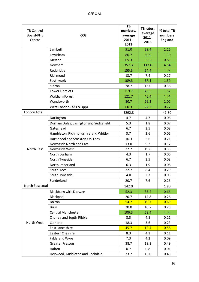| <b>TB Control</b><br>Board/PHE<br>Centre | <b>CCG</b>                             | TB<br>numbers,<br>average<br>$2011 -$<br>2013 | TB rates,<br>average<br>$2011 -$<br>2013 | % total TB<br>numbers<br><b>England</b> |
|------------------------------------------|----------------------------------------|-----------------------------------------------|------------------------------------------|-----------------------------------------|
|                                          | Lambeth                                | 91.0                                          | 29.4                                     | 1.16                                    |
|                                          | Lewisham                               | 86.7                                          | 30.9                                     | 1.10                                    |
|                                          | Merton                                 | 65.3                                          | 32.2                                     | 0.83                                    |
|                                          | Newham                                 | 357.3                                         | 113.6                                    | 4.54                                    |
|                                          | Redbridge                              | 155.3                                         | 54.4                                     | 1.97                                    |
|                                          | Richmond                               | 13.7                                          | 7.4                                      | 0.17                                    |
|                                          | Southwark                              | 109.3                                         | 37.1                                     | 1.39                                    |
|                                          | Sutton                                 | 28.7                                          | 15.0                                     | 0.36                                    |
|                                          | <b>Tower Hamlets</b>                   | 119.7                                         | 45.5                                     | 1.52                                    |
|                                          | <b>Waltham Forest</b>                  | 121.7                                         | 46.4                                     | 1.54                                    |
|                                          | Wandsworth                             | 80.7                                          | 26.2                                     | 1.02                                    |
|                                          | West London (K&C&Qpp)                  | 60.3                                          | 27.3                                     | 0.77                                    |
| London total                             |                                        | 3292.3                                        |                                          | 41.80                                   |
|                                          | Darlington                             | 4.7                                           | 4.7                                      | 0.06                                    |
|                                          | Durham Dales, Easington and Sedgefield | 5.3                                           | 1.8                                      | 0.07                                    |
|                                          | Gateshead                              | 6.7                                           | 3.5                                      | 0.08                                    |
|                                          | Hambleton, Richmondshire and Whitby    | 3.7                                           | 2.6                                      | 0.05                                    |
|                                          | Hartlepool and Stockton-On-Tees        | 16.3                                          | 5.6                                      | 0.21                                    |
|                                          | Newcastle North and East               | 13.0                                          | 9.2                                      | 0.17                                    |
| North East                               | Newcastle West                         | 27.7                                          | 19.8                                     | 0.35                                    |
|                                          | North Durham                           | 4.3                                           | 1.7                                      | 0.06                                    |
|                                          | North Tyneside                         | 6.7                                           | 3.5                                      | 0.08                                    |
|                                          | Northumberland                         | 6.3                                           | 1.9                                      | 0.08                                    |
|                                          | South Tees                             | 22.7                                          | 8.4                                      | 0.29                                    |
|                                          | South Tyneside                         | 4.0                                           | 2.7                                      | 0.05                                    |
|                                          | Sunderland                             | 20.7                                          | 7.6                                      | 0.26                                    |
| North East total                         |                                        | 142.0                                         |                                          | 1.80                                    |
|                                          | <b>Blackburn with Darwen</b>           | 52.3                                          | 35.2                                     | 0.66                                    |
|                                          | Blackpool                              | 20.7                                          | 14.8                                     | 0.26                                    |
|                                          | <b>Bolton</b>                          | 54.7                                          | 19.7                                     | 0.69                                    |
|                                          | Bury                                   | 20.0                                          | 10.7                                     | 0.25                                    |
|                                          | <b>Central Manchester</b>              | 106.3                                         | 58.4                                     | 1.35                                    |
|                                          | Chorley and South Ribble               | 8.3                                           | 4.8                                      | 0.11                                    |
| North West                               | Cumbria                                | 18.3                                          | 3.6                                      | 0.23                                    |

East Lancashire **12.4** 12.4 12.58 Eastern Cheshire 198.3 4.1 0.11 Fylde and Wyre 2008 2009 Greater Preston 38.7 19.3 0.49 Halton 0.7 0.8 0.01 Heywood, Middleton and Rochdale | 33.7 | 16.0 0.43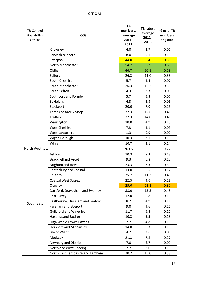| <b>TB Control</b><br>Board/PHE<br>Centre | <b>CCG</b>                       | TB<br>numbers,<br>average<br>$2011 -$<br>2013 | TB rates,<br>average<br>$2011 -$<br>2013 | % total TB<br>numbers<br><b>England</b> |
|------------------------------------------|----------------------------------|-----------------------------------------------|------------------------------------------|-----------------------------------------|
|                                          | Knowsley                         | 4.0                                           | 2.7                                      | 0.05                                    |
|                                          | Lancashire North                 | 8.0                                           | 5.1                                      | 0.10                                    |
|                                          | Liverpool                        | 44.0                                          | 9.4                                      | 0.56                                    |
|                                          | North Manchester                 | 54.7                                          | 32.9                                     | 0.69                                    |
|                                          | Oldham                           | 46.7                                          | 20.8                                     | 0.59                                    |
|                                          | Salford                          | 26.3                                          | 11.0                                     | 0.33                                    |
|                                          | South Cheshire                   | 5.7                                           | 3.4                                      | 0.07                                    |
|                                          | South Manchester                 | 26.3                                          | 16.2                                     | 0.33                                    |
|                                          | South Sefton                     | 4.3                                           | 2.3                                      | 0.06                                    |
|                                          | Southport and Formby             | 5.7                                           | 5.3                                      | 0.07                                    |
|                                          | St Helens                        | 4.3                                           | 2.3                                      | 0.06                                    |
|                                          | Stockport                        | 20.0                                          | 7.0                                      | 0.25                                    |
|                                          | <b>Tameside and Glossop</b>      | 32.3                                          | 12.6                                     | 0.41                                    |
|                                          | <b>Trafford</b>                  | 32.3                                          | 14.0                                     | 0.41                                    |
|                                          | Warrington                       | 10.0                                          | 4.9                                      | 0.13                                    |
|                                          | <b>West Cheshire</b>             | 7.3                                           | 3.1                                      | 0.09                                    |
|                                          | West Lancashire                  | 1.3                                           | 0.9                                      | 0.02                                    |
|                                          | Wigan Borough                    | 10.3                                          | 3.1                                      | 0.13                                    |
|                                          | Wirral                           | 10.7                                          | 3.1                                      | 0.14                                    |
| North West total                         |                                  | 769.5                                         |                                          | 9.77                                    |
|                                          | Ashford                          | 10.3                                          | 8.3                                      | 0.13                                    |
|                                          | <b>Bracknell and Ascot</b>       | 9.3                                           | 6.8                                      | 0.12                                    |
|                                          | <b>Brighton and Hove</b>         | 23.3                                          | 8.3                                      | 0.30                                    |
|                                          | Canterbury and Coastal           | 13.0                                          | 6.5                                      | 0.17                                    |
|                                          | Chiltern                         | 35.7                                          | 11.3                                     | 0.45                                    |
|                                          | <b>Coastal West Sussex</b>       | 22.3                                          | 4.6                                      | 0.28                                    |
|                                          | Crawley                          | 25.0                                          | 23.1                                     | 0.32                                    |
|                                          | Dartford, Gravesham and Swanley  | 38.0                                          | 15.3                                     | 0.48                                    |
|                                          | <b>East Surrey</b>               | 12.0                                          | 6.8                                      | 0.15                                    |
| South East                               | Eastbourne, Hailsham and Seaford | 8.7                                           | 4.9                                      | 0.11                                    |
|                                          | <b>Fareham and Gosport</b>       | 9.0                                           | 4.6                                      | 0.11                                    |
|                                          | <b>Guildford and Waverley</b>    | 11.7                                          | 5.8                                      | 0.15                                    |
|                                          | Hastings and Rother              | 10.3                                          | 5.5                                      | 0.13                                    |
|                                          | <b>High Weald Lewes Havens</b>   | 7.7                                           | 4.8                                      | 0.10                                    |
|                                          | Horsham and Mid Sussex           | 14.0                                          | 6.3                                      | 0.18                                    |
|                                          | Isle of Wight                    | 4.7                                           | 3.6                                      | 0.06                                    |
|                                          | Medway                           | 21.3                                          | 7.8                                      | 0.27                                    |
|                                          | Newbury and District             | 7.0                                           | 6.7                                      | 0.09                                    |
|                                          | North and West Reading           | 7.7                                           | 8.0                                      | 0.10                                    |
|                                          | North East Hampshire and Famham  | 30.7                                          | 15.0                                     | 0.39                                    |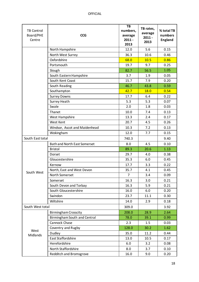| <b>TB Control</b><br>Board/PHE<br>Centre | <b>CCG</b>                          | TB<br>numbers,<br>average<br>$2011 -$<br>2013 | TB rates,<br>average<br>$2011 -$<br>2013 | % total TB<br>numbers<br><b>England</b> |
|------------------------------------------|-------------------------------------|-----------------------------------------------|------------------------------------------|-----------------------------------------|
|                                          | North Hampshire                     | 12.0                                          | 5.6                                      | 0.15                                    |
|                                          | North West Surrey                   | 36.3                                          | 10.6                                     | 0.46                                    |
|                                          | Oxfordshire                         | 68.0                                          | 10.5                                     | 0.86                                    |
|                                          | Portsmouth                          | 19.7                                          | 9.7                                      | 0.25                                    |
|                                          | Slough                              | 82.7                                          | 56.5                                     | 1.05                                    |
|                                          | South Eastern Hampshire             | 3.7                                           | 1.9                                      | 0.05                                    |
|                                          | South Kent Coast                    | 15.7                                          | 7.9                                      | 0.20                                    |
|                                          | South Reading                       | 46.7                                          | 43.8                                     | 0.59                                    |
|                                          | Southampton                         | 42.7                                          | 18.0                                     | 0.54                                    |
|                                          | <b>Surrey Downs</b>                 | 17.7                                          | 6.4                                      | 0.22                                    |
|                                          | Surrey Heath                        | 5.3                                           | 5.3                                      | 0.07                                    |
|                                          | Swale                               | 2.0                                           | 1.8                                      | 0.03                                    |
|                                          | Thanet                              | 10.0                                          | 7.4                                      | 0.13                                    |
|                                          | West Hampshire                      | 13.3                                          | 2.4                                      | 0.17                                    |
|                                          | <b>West Kent</b>                    | 20.7                                          | 4.5                                      | 0.26                                    |
|                                          | Windsor, Ascot and Maidenhead       | 10.3                                          | 7.2                                      | 0.13                                    |
|                                          | Wokingham                           | 12.0                                          | 7.7                                      | 0.15                                    |
| South East total                         |                                     | 740.3                                         |                                          | 9.40                                    |
|                                          | <b>Bath and North East Somerset</b> | 8.0                                           | 4.5                                      | 0.10                                    |
|                                          | <b>Bristol</b>                      | 89.3                                          | 20.6                                     | 1.13                                    |
|                                          | Dorset                              | 29.7                                          | 4.0                                      | 0.38                                    |
|                                          | Gloucestershire                     | 35.3                                          | 6.0                                      | 0.45                                    |
|                                          | Kernow                              | 17.7                                          | 3.3                                      | 0.22                                    |
| South West                               | North, East and West Devon          | 35.7                                          | 4.1                                      | 0.45                                    |
|                                          | North Somerset                      | $\overline{7}$                                | 3.4                                      | 0.09                                    |
|                                          | Somerset                            | 16.3                                          | 3.0                                      | 0.21                                    |
|                                          | South Devon and Torbay              | 16.3                                          | 5.9                                      | 0.21                                    |
|                                          | South Gloucestershire               | 16.0                                          | $6.0\,$                                  | 0.20                                    |
|                                          | Swindon                             | 23.7                                          | 11.1                                     | 0.30                                    |
|                                          | Wiltshire                           | 14.0                                          | 2.9                                      | 0.18                                    |
| South West total                         |                                     | 309.0                                         |                                          | 3.92                                    |
|                                          | <b>Birmingham Crosscity</b>         | 208.0                                         | 28.9                                     | 2.64                                    |
|                                          | Birmingham South and Central        | 78.0                                          | 39.1                                     | 0.99                                    |
|                                          | Cannock Chase                       | 2.3                                           | 1.5                                      | 0.03                                    |
|                                          | Coventry and Rugby                  | 128.0                                         | 30.2                                     | 1.62                                    |
| West<br>Midlands                         | Dudley                              | 35.0                                          | 11.2                                     | 0.44                                    |
|                                          | East Staffordshire                  | 13.0                                          | 10.5                                     | 0.17                                    |
|                                          | Herefordshire                       | 6.0                                           | 3.2                                      | 0.08                                    |
|                                          | North Staffordshire                 | 8.0                                           | 3.7                                      | 0.10                                    |
|                                          | <b>Redditch and Bromsgrove</b>      | 16.0                                          | 9.0                                      | 0.20                                    |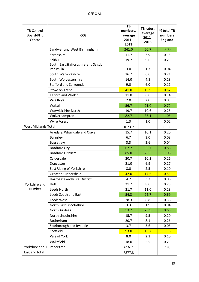| <b>TB Control</b><br>Board/PHE<br>Centre | <b>CCG</b>                           | TB<br>numbers,<br>average<br>$2011 -$<br>2013 | TB rates,<br>average<br>$2011 -$<br>2013 | % total TB<br>numbers<br><b>England</b> |
|------------------------------------------|--------------------------------------|-----------------------------------------------|------------------------------------------|-----------------------------------------|
|                                          | Sandwell and West Birmingham         | 241.0                                         | 50.7                                     | 3.06                                    |
|                                          | Shropshire                           | 11.7                                          | 3.9                                      | 0.15                                    |
|                                          | Solihull                             | 19.7                                          | 9.6                                      | 0.25                                    |
|                                          | South East Staffordshire and Seisdon |                                               |                                          |                                         |
|                                          | Peninsula                            | 3.0                                           | 1.3                                      | 0.04                                    |
|                                          | South Warwickshire                   | 16.7                                          | 6.6                                      | 0.21                                    |
|                                          | South Worcestershire                 | 14.0                                          | 4.8                                      | 0.18                                    |
|                                          | <b>Stafford and Surrounds</b>        | 9.0                                           | 6.0                                      | 0.11                                    |
|                                          | Stoke on Trent                       | 41.0                                          | 15.9                                     | 0.52                                    |
|                                          | <b>Telford and Wrekin</b>            | 11.0                                          | 6.6                                      | 0.14                                    |
|                                          | Vale Royal                           | 2.0                                           | 2.0                                      | 0.03                                    |
|                                          | Walsall                              | 56.7                                          | 21.0                                     | 0.72                                    |
|                                          | <b>Warwickshire North</b>            | 19.7                                          | 10.6                                     | 0.25                                    |
|                                          | Wolverhampton                        | 82.7                                          | 33.1                                     | 1.05                                    |
|                                          | <b>Wyre Forest</b>                   | 1.3                                           | 1.0                                      | 0.02                                    |
| <b>West Midlands Total</b>               |                                      | 1023.7                                        |                                          | 13.00                                   |
|                                          | Airedale, Wharfdale and Craven       | 15.7                                          | 10.1                                     | 0.20                                    |
|                                          | Barnsley                             | 6.7                                           | 3.0                                      | 0.08                                    |
|                                          | Bassetlaw                            | 3.3                                           | 2.6                                      | 0.04                                    |
|                                          | <b>Bradford City</b>                 | 67.7                                          | 82.7                                     | 0.86                                    |
|                                          | <b>Bradford Districts</b>            | 85.0                                          | 25.5                                     | 1.08                                    |
|                                          | Calderdale                           | 20.7                                          | 10.2                                     | 0.26                                    |
|                                          | Doncaster                            | 21.0                                          | 6.9                                      | 0.27                                    |
|                                          | East Riding of Yorkshire             | 8.0                                           | 2.5                                      | 0.10                                    |
|                                          | Greater Huddersfield                 | 42.0                                          | 17.6                                     | 0.53                                    |
|                                          | Harrogate and Rural District         | 4.7                                           | 3.2                                      | 0.06                                    |
| Yorkshire and                            | Hull                                 | 21.7                                          | 8.6                                      | 0.28                                    |
| Humber                                   | Leeds North                          | 21.7                                          | 11.0                                     | 0.28                                    |
|                                          | Leeds South and East                 | 54.3                                          | 22.7                                     | 0.69                                    |
|                                          | Leeds West                           | 28.3                                          | 8.8                                      | 0.36                                    |
|                                          | North East Lincolnshire              | 3.3                                           | 1.9                                      | 0.04                                    |
|                                          | North Kirklees                       | 53.7                                          | 28.9                                     | 0.68                                    |
|                                          | North Lincolnshire                   | 15.7                                          | 9.5                                      | 0.20                                    |
|                                          | Rotherham                            | 20.7                                          | 8.1                                      | 0.26                                    |
|                                          | Scarborough and Ryedale              | 3.7                                           | 3.6                                      | 0.05                                    |
|                                          | Sheffield                            | 93.0                                          | 16.7                                     | 1.18                                    |
|                                          | Vale of York                         | 8.0                                           | 2.3                                      | 0.10                                    |
|                                          | Wakefield                            | 18.0                                          | 5.5                                      | 0.23                                    |
| Yorkshire and Humber total               |                                      | 616.7                                         |                                          | 7.83                                    |
| England total                            |                                      | 7877.3                                        |                                          |                                         |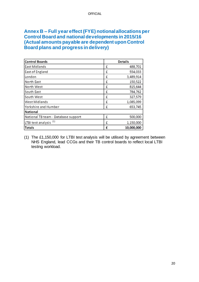### <span id="page-19-0"></span>**Annex B – Full year effect (FYE) notional allocations per Control Board and national developments in 2015/16 (Actual amounts payable are dependent upon Control Board plans and progress in delivery)**

| <b>Control Boards</b>               |   | <b>Details</b> |
|-------------------------------------|---|----------------|
| <b>East Midlands</b>                | £ | 488,701        |
| East of England                     | £ | 554,033        |
| London                              | £ | 3,489,914      |
| North East                          | £ | 150,522        |
| North West                          | £ | 815,644        |
| South East                          | £ | 784,762        |
| South West                          | £ | 327,579        |
| <b>West Midlands</b>                | £ | 1,085,099      |
| Yorkshire and Humber                | £ | 653,745        |
| <b>National</b>                     |   |                |
| National TB team - Database support | £ | 500,000        |
| LTBI test analysis <sup>(1)</sup>   | £ | 1,150,000      |
| <b>Totals</b>                       | £ | 10,000,000     |

(1) The £1,150,000 for LTBI test analysis will be utilised by agreement between NHS England, lead CCGs and their TB control boards to reflect local LTBI testing workload.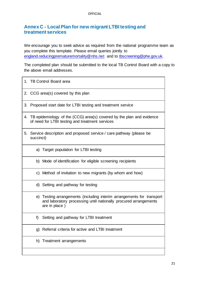## <span id="page-20-1"></span><span id="page-20-0"></span>**Annex C - Local Plan for new migrant LTBI testing and treatment services**

We encourage you to seek advice as required from the national programme team as you complete this template. Please email queries jointly to [england.reducingprematuremortality@nhs.net](mailto:england.reducingprematuremortality@nhs.net) and to [tbscreening@phe.gov.uk.](mailto:tbscreening@phe.gov.uk) 

The completed plan should be submitted to the local TB Control Board with a copy to the above email addresses.

| 1. TB Control Board area                                                                                                                                   |
|------------------------------------------------------------------------------------------------------------------------------------------------------------|
| 2. CCG area(s) covered by this plan                                                                                                                        |
| 3. Proposed start date for LTBI testing and treatment service                                                                                              |
| 4. TB epidemiology of the (CCG) area(s) covered by the plan and evidence<br>of need for LTBI testing and treatment services                                |
| 5. Service description and proposed service / care pathway (please be<br>succinct)                                                                         |
| a) Target population for LTBI testing                                                                                                                      |
| b) Mode of identification for eligible screening recipients                                                                                                |
| c) Method of invitation to new migrants (by whom and how)                                                                                                  |
| d) Setting and pathway for testing                                                                                                                         |
| e) Testing arrangements (including interim arrangements for transport<br>and laboratory processing until nationally procured arrangements<br>are in place) |
| Setting and pathway for LTBI treatment<br>f)                                                                                                               |
| Referral criteria for active and LTBI treatment<br>g)                                                                                                      |
| h) Treatment arrangements                                                                                                                                  |
|                                                                                                                                                            |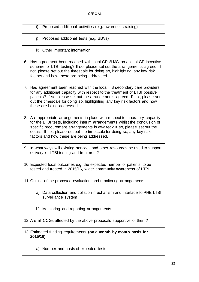- i) Proposed additional activities (e.g. awareness raising)
- j) Proposed additional tests (e.g. BBVs)
- k) Other important information
- 6. Has agreement been reached with local GPs/LMC on a local GP incentive scheme for LTBI testing? If so, please set out the arrangements agreed. If not, please set out the timescale for doing so, highlighting any key risk factors and how these are being addressed.
- 7. Has agreement been reached with the local TB secondary care providers for any additional capacity with respect to the treatment of LTBI positive patients? If so, please set out the arrangements agreed. If not, please set out the timescale for doing so, highlighting any key risk factors and how these are being addressed.
- 8. Are appropriate arrangements in place with respect to laboratory capacity for the LTBI tests, including interim arrangements whilst the conclusion of specific procurement arrangements is awaited? If so, please set out the details. If not, please set out the timescale for doing so, any key risk factors and how these are being addressed.
- 9. In what ways will existing services and other resources be used to support delivery of LTBI testing and treatment?
- 10. Expected local outcomes e.g. the expected number of patients to be tested and treated in 2015/16, wider community awareness of LTBI
- 11. Outline of the proposed evaluation and monitoring arrangements
	- a) Data collection and collation mechanism and interface to PHE LTBI surveillance system
	- b) Monitoring and reporting arrangements
- 12. Are all CCGs affected by the above proposals supportive of them?
- 13. Estimated funding requirements **(on a month by month basis for 2015/16)**
	- a) Number and costs of expected tests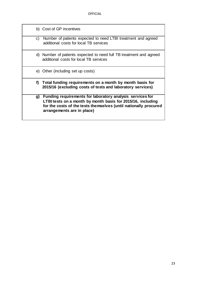| b) Cost of GP incentives                                                                                                  |
|---------------------------------------------------------------------------------------------------------------------------|
| c) Number of patients expected to need LTBI treatment and agreed<br>additional costs for local TB services                |
| d) Number of patients expected to need full TB treatment and agreed<br>additional costs for local TB services             |
| e) Other (including set up costs)                                                                                         |
|                                                                                                                           |
| f) Total funding requirements on a month by month basis for<br>2015/16 (excluding costs of tests and laboratory services) |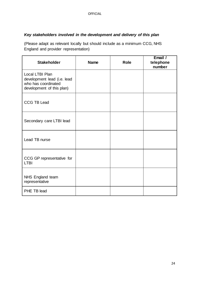#### *Key stakeholders involved in the development and delivery of this plan*

(Please adapt as relevant locally but should include as a minimum CCG, NHS England and provider representation)

| <b>Stakeholder</b>                                                                                 | <b>Name</b> | <b>Role</b> | Email /<br>telephone<br>number |
|----------------------------------------------------------------------------------------------------|-------------|-------------|--------------------------------|
| Local LTBI Plan<br>development lead (i.e. lead<br>who has coordinated<br>development of this plan) |             |             |                                |
| <b>CCG TB Lead</b>                                                                                 |             |             |                                |
| Secondary care LTBI lead                                                                           |             |             |                                |
| Lead TB nurse                                                                                      |             |             |                                |
| CCG GP representative for<br><b>LTBI</b>                                                           |             |             |                                |
| NHS England team<br>representative                                                                 |             |             |                                |
| PHE TB lead                                                                                        |             |             |                                |